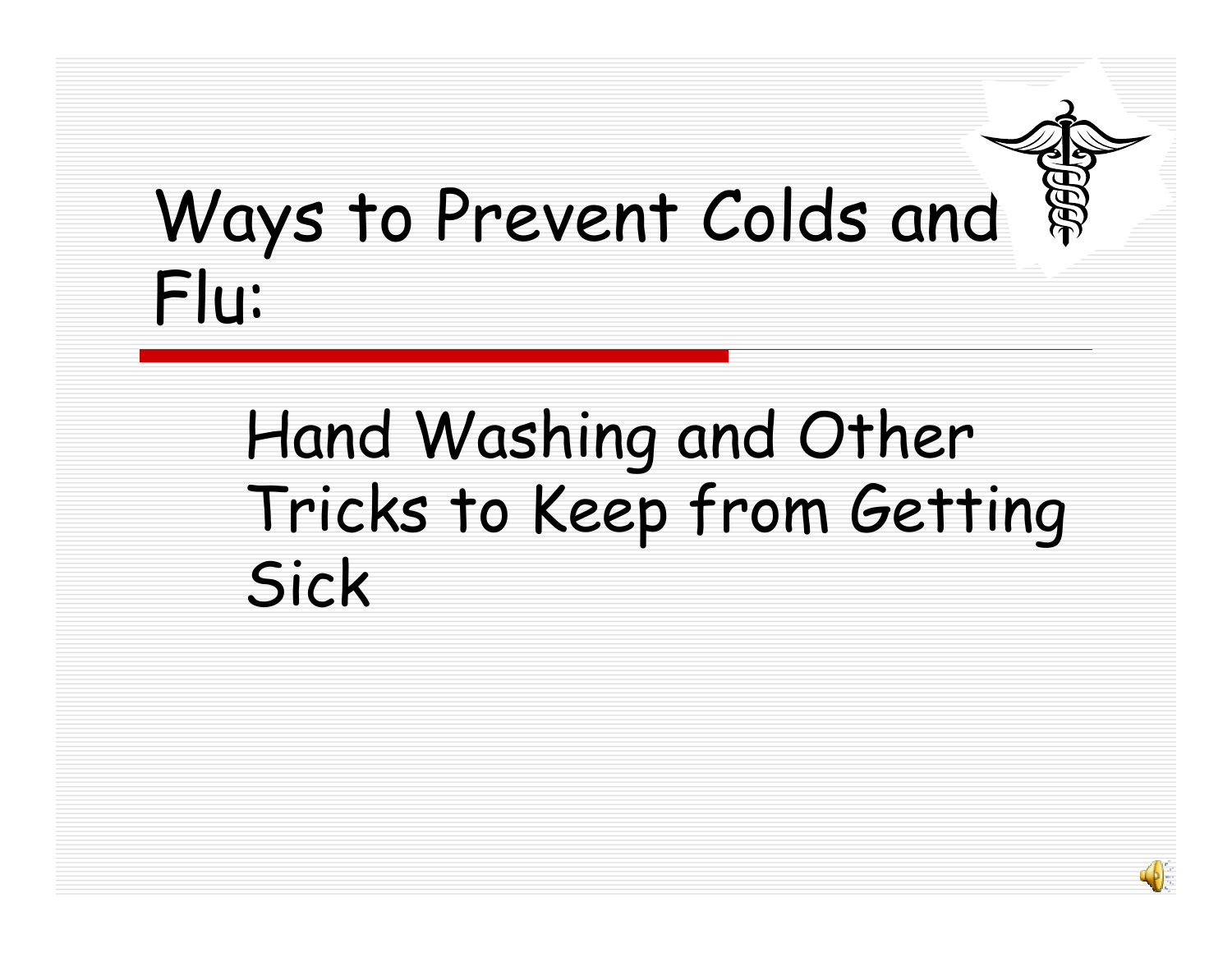# Ways to Prevent Colds and Flu:

## Hand Washing and Other Tricks to Keep from Getting Sick

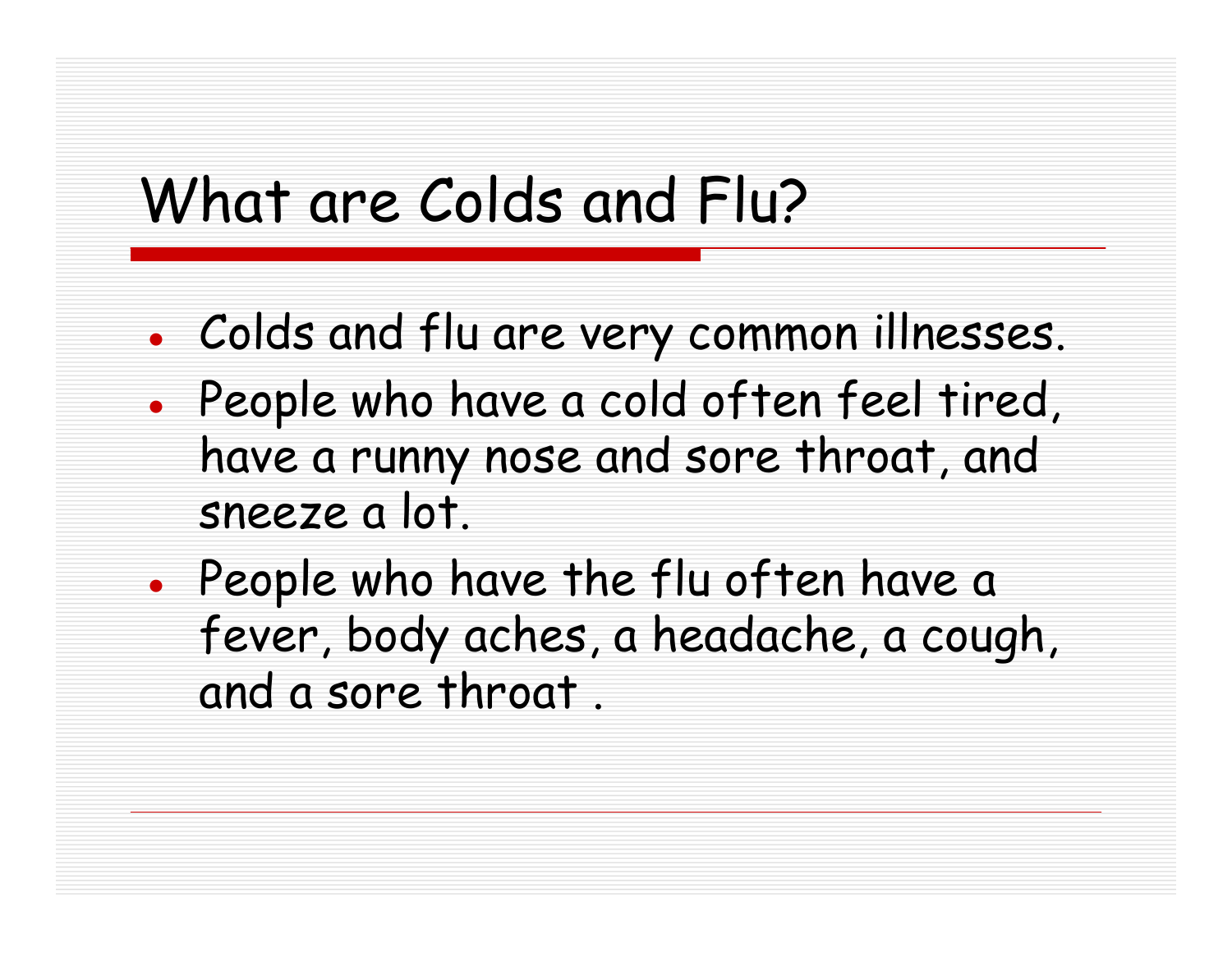### What are Colds and Flu?

- ●Colds and flu are very common illnesses.
- ● People who have a cold often feel tired, have a runny nose and sore throat, and sneeze a lot.
- ●• People who have the flu often have a fever, body aches, a headache, a cough, and a sore throat .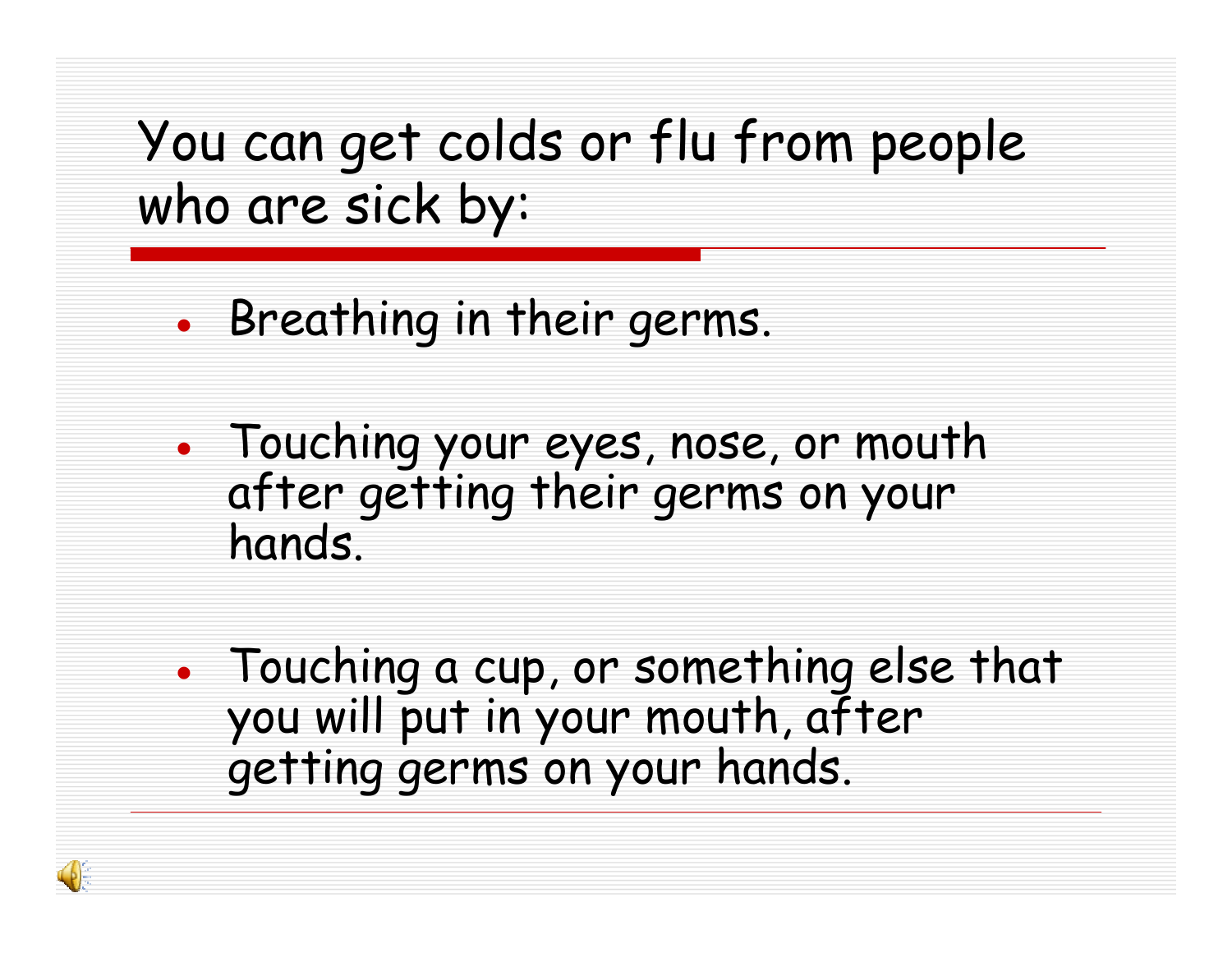You can get colds or flu from people who are sick by:

- ●• Breathing in their germs.
- ● Touching your eyes, nose, or mouth after getting their germs on your hands.
- ● Touching a cup, or something else that you will put in your mouth, after getting germs on your hands.

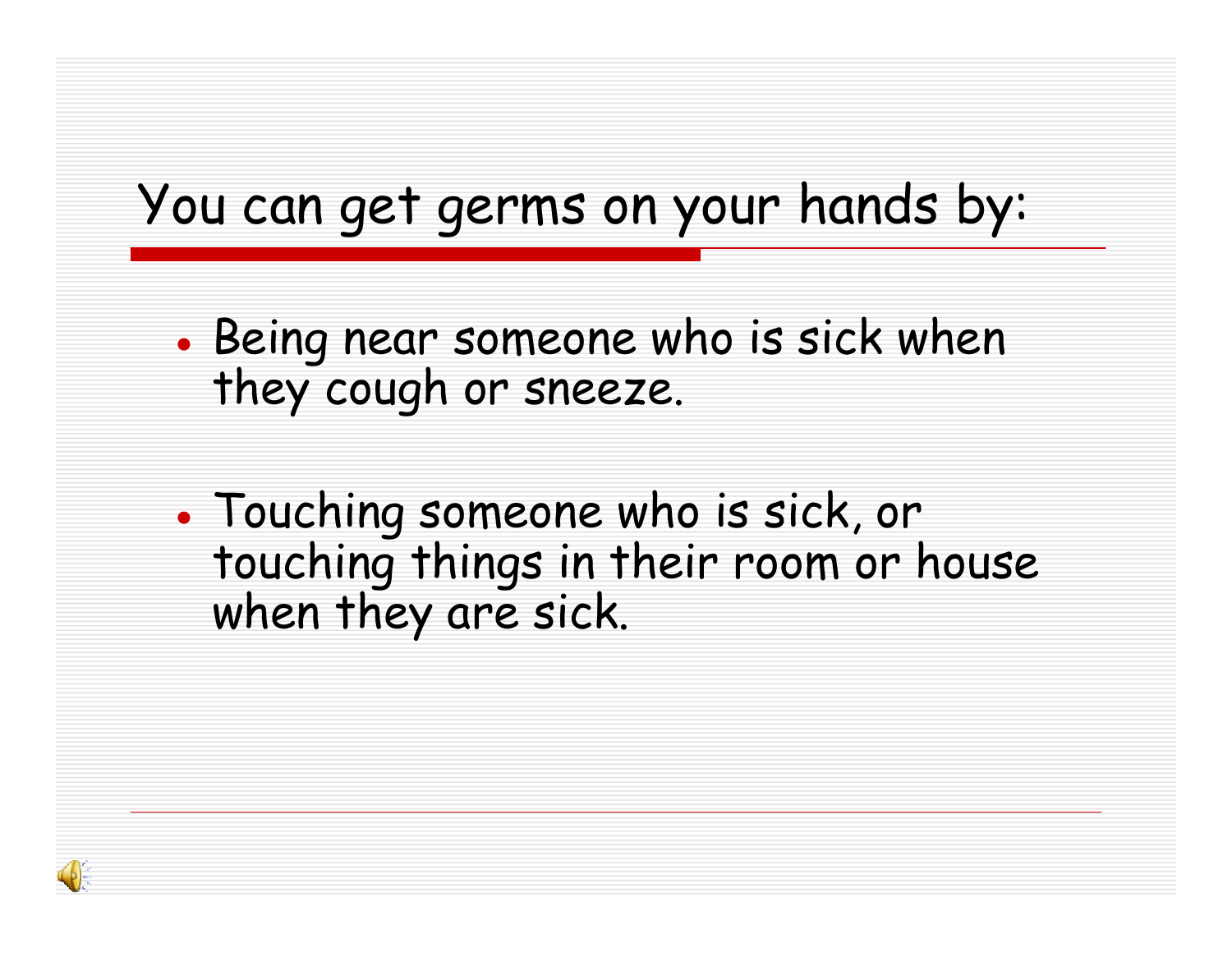#### You can get germs on your hands by:

- ●• Being near someone who is sick when they cough or sneeze.
- ● Touching someone who is sick, or touching things in their room or house when they are sick.

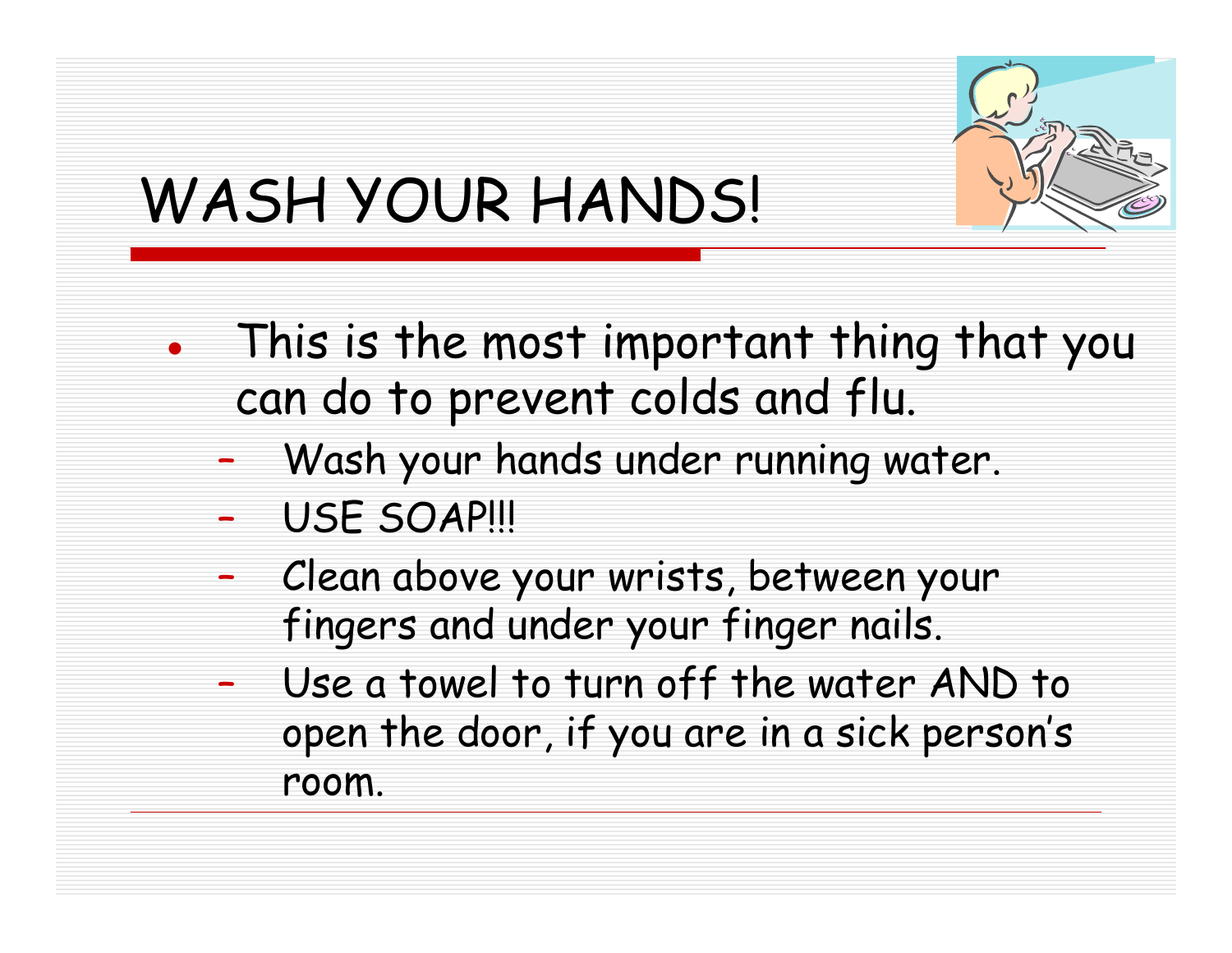

## WASH YOUR HANDS!

- ● This is the most important thing that you can do to prevent colds and flu.
	- –Wash your hands under running water.
	- –USE SOAP!!!
	- – Clean above your wrists, between your fingers and under your finger nails.
	- – Use a towel to turn off the water AND to open the door, if you are in a sick person's room.